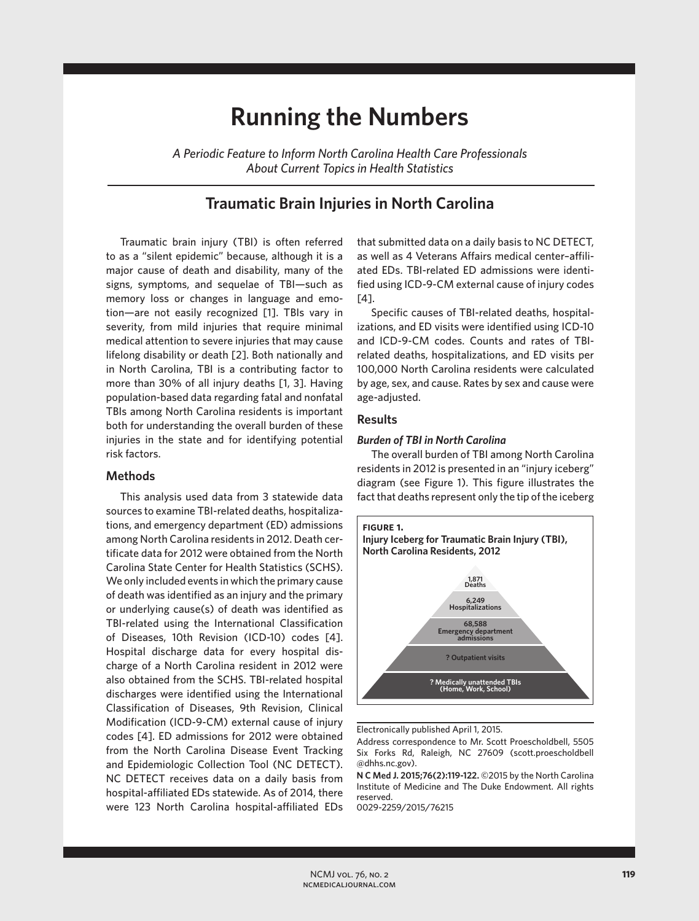# **Running the Numbers**

*A Periodic Feature to Inform North Carolina Health Care Professionals About Current Topics in Health Statistics*

# **Traumatic Brain Injuries in North Carolina**

Traumatic brain injury (TBI) is often referred to as a "silent epidemic" because, although it is a major cause of death and disability, many of the signs, symptoms, and sequelae of TBI—such as memory loss or changes in language and emotion—are not easily recognized [1]. TBIs vary in severity, from mild injuries that require minimal medical attention to severe injuries that may cause lifelong disability or death [2]. Both nationally and in North Carolina, TBI is a contributing factor to more than 30% of all injury deaths [1, 3]. Having population-based data regarding fatal and nonfatal TBIs among North Carolina residents is important both for understanding the overall burden of these injuries in the state and for identifying potential risk factors.

# **Methods**

This analysis used data from 3 statewide data sources to examine TBI-related deaths, hospitalizations, and emergency department (ED) admissions among North Carolina residents in 2012. Death certificate data for 2012 were obtained from the North Carolina State Center for Health Statistics (SCHS). We only included events in which the primary cause of death was identified as an injury and the primary or underlying cause(s) of death was identified as TBI-related using the International Classification of Diseases, 10th Revision (ICD-10) codes [4]. Hospital discharge data for every hospital discharge of a North Carolina resident in 2012 were also obtained from the SCHS. TBI-related hospital discharges were identified using the International Classification of Diseases, 9th Revision, Clinical Modification (ICD-9-CM) external cause of injury codes [4]. ED admissions for 2012 were obtained from the North Carolina Disease Event Tracking and Epidemiologic Collection Tool (NC DETECT). NC DETECT receives data on a daily basis from hospital-affiliated EDs statewide. As of 2014, there were 123 North Carolina hospital-affiliated EDs

that submitted data on a daily basis to NC DETECT, as well as 4 Veterans Affairs medical center–affiliated EDs. TBI-related ED admissions were identified using ICD-9-CM external cause of injury codes [4].

Specific causes of TBI-related deaths, hospitalizations, and ED visits were identified using ICD-10 and ICD-9-CM codes. Counts and rates of TBIrelated deaths, hospitalizations, and ED visits per 100,000 North Carolina residents were calculated by age, sex, and cause. Rates by sex and cause were age-adjusted.

### **Results**

#### *Burden of TBI in North Carolina*

The overall burden of TBI among North Carolina residents in 2012 is presented in an "injury iceberg" diagram (see Figure 1). This figure illustrates the fact that deaths represent only the tip of the iceberg



Electronically published April 1, 2015.

Address correspondence to Mr. Scott Proescholdbell, 5505 Six Forks Rd, Raleigh, NC 27609 (scott.proescholdbell @dhhs.nc.gov).

**N C Med J. 2015;76(2):119-122.** ©2015 by the North Carolina Institute of Medicine and The Duke Endowment. All rights reserved.

0029-2259/2015/76215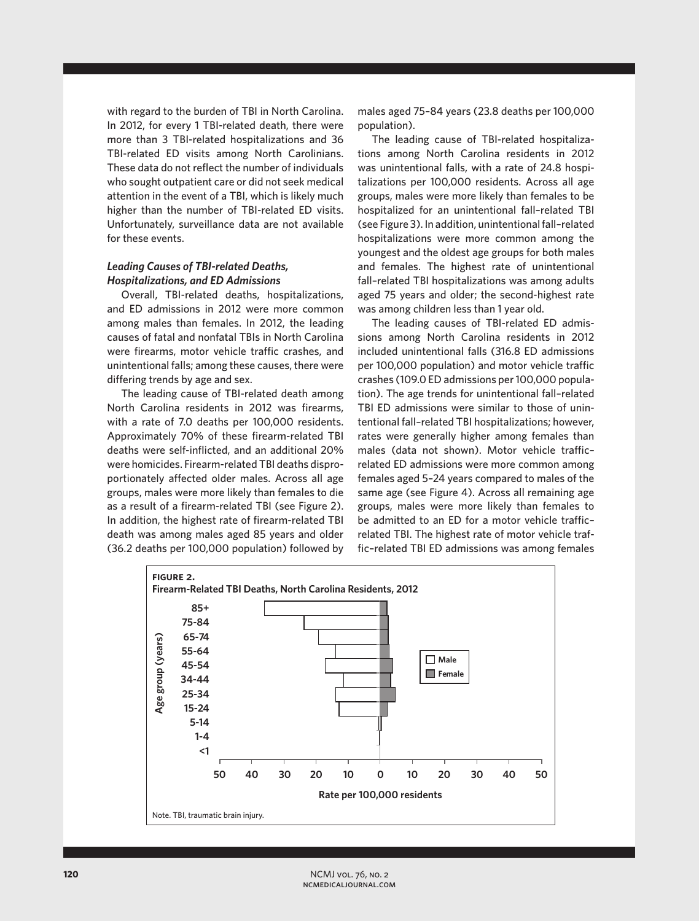with regard to the burden of TBI in North Carolina. In 2012, for every 1 TBI-related death, there were more than 3 TBI-related hospitalizations and 36 TBI-related ED visits among North Carolinians. These data do not reflect the number of individuals who sought outpatient care or did not seek medical attention in the event of a TBI, which is likely much higher than the number of TBI-related ED visits. Unfortunately, surveillance data are not available for these events.

# *Leading Causes of TBI-related Deaths, Hospitalizations, and ED Admissions*

Overall, TBI-related deaths, hospitalizations, and ED admissions in 2012 were more common among males than females. In 2012, the leading causes of fatal and nonfatal TBIs in North Carolina were firearms, motor vehicle traffic crashes, and unintentional falls; among these causes, there were differing trends by age and sex.

The leading cause of TBI-related death among North Carolina residents in 2012 was firearms, with a rate of 7.0 deaths per 100,000 residents. Approximately 70% of these firearm-related TBI deaths were self-inflicted, and an additional 20% were homicides. Firearm-related TBI deaths disproportionately affected older males. Across all age groups, males were more likely than females to die as a result of a firearm-related TBI (see Figure 2). In addition, the highest rate of firearm-related TBI death was among males aged 85 years and older (36.2 deaths per 100,000 population) followed by males aged 75–84 years (23.8 deaths per 100,000 population).

The leading cause of TBI-related hospitalizations among North Carolina residents in 2012 was unintentional falls, with a rate of 24.8 hospitalizations per 100,000 residents. Across all age groups, males were more likely than females to be hospitalized for an unintentional fall–related TBI (see Figure 3). In addition, unintentional fall–related hospitalizations were more common among the youngest and the oldest age groups for both males and females. The highest rate of unintentional fall–related TBI hospitalizations was among adults aged 75 years and older; the second-highest rate was among children less than 1 year old.

The leading causes of TBI-related ED admissions among North Carolina residents in 2012 included unintentional falls (316.8 ED admissions per 100,000 population) and motor vehicle traffic crashes (109.0 ED admissions per 100,000 population). The age trends for unintentional fall–related TBI ED admissions were similar to those of unintentional fall–related TBI hospitalizations; however, rates were generally higher among females than males (data not shown). Motor vehicle traffic– related ED admissions were more common among females aged 5–24 years compared to males of the same age (see Figure 4). Across all remaining age groups, males were more likely than females to be admitted to an ED for a motor vehicle traffic– related TBI. The highest rate of motor vehicle traffic–related TBI ED admissions was among females

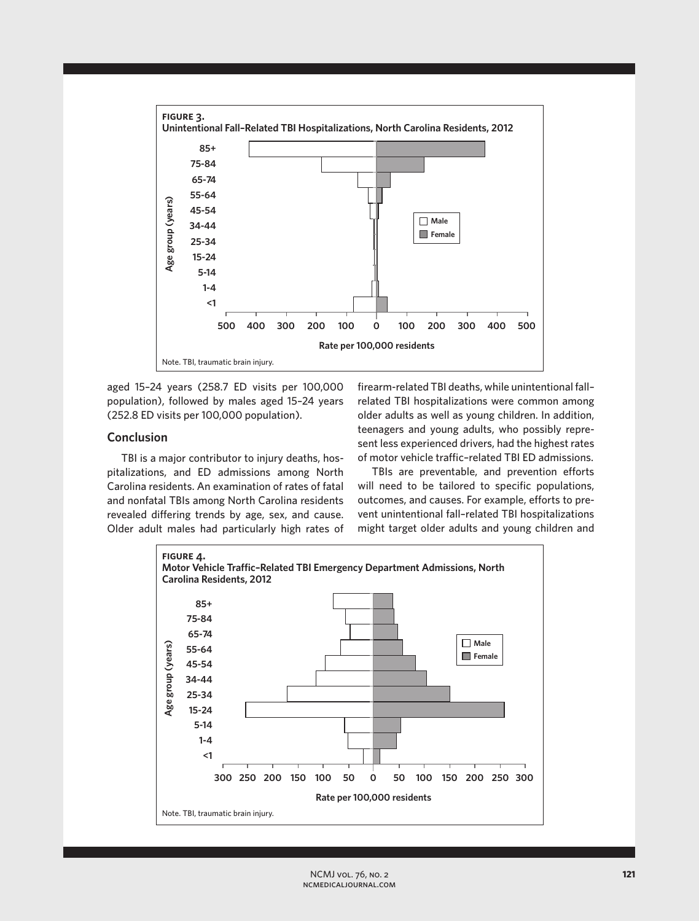

aged 15–24 years (258.7 ED visits per 100,000 population), followed by males aged 15–24 years (252.8 ED visits per 100,000 population).

# **Conclusion**

TBI is a major contributor to injury deaths, hospitalizations, and ED admissions among North Carolina residents. An examination of rates of fatal and nonfatal TBIs among North Carolina residents revealed differing trends by age, sex, and cause. Older adult males had particularly high rates of firearm-related TBI deaths, while unintentional fall– related TBI hospitalizations were common among older adults as well as young children. In addition, teenagers and young adults, who possibly represent less experienced drivers, had the highest rates of motor vehicle traffic–related TBI ED admissions.

TBIs are preventable, and prevention efforts will need to be tailored to specific populations, outcomes, and causes. For example, efforts to prevent unintentional fall–related TBI hospitalizations might target older adults and young children and